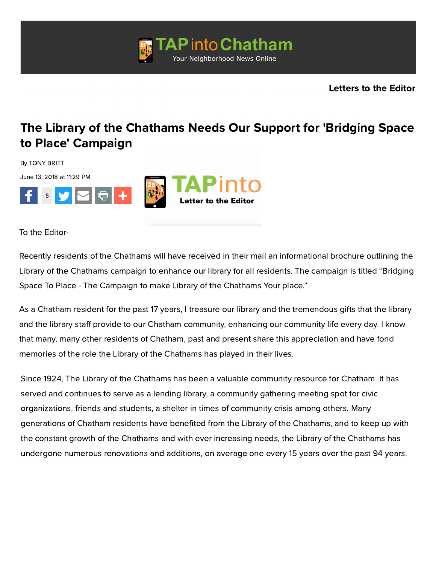

## [The Library of the Chathams Needs Our Support for 'Bridging Space](http://googleads.g.doubleclick.net/pcs/click?xai=AKAOjssf_LHL9jGAXOQbhAnF7F_a_tjvOzyAHwMoqac5Y_LJV5Nr0B0psghRKzP0OmdbFsM3ETlQzjxUAx_2J6v04qhq3C0D3b4TZi-VW0R9Y_u3YVuSTAL6ncd0S2tCgQ30xDCPjV_NyKai96a2ACC42BTzHIXYUz8oUAzF2r7ggsksHzqUyffB82byq20mh9eJRJozq0d2xGThOnYa8caGxHIdMn-S7Q9yywGZoPr8HjUm0WRaoSAspGarWfs&sai=AMfl-YQKTwVnbXP6Yh2gsK9pMT9PZssg-XnJeKLqqjCNhKD6tWVbRt8IYSMOqn8Dev-X69wOjOC9San8H5eytnGSUHTPYmiVtyxmPYzGPUxs7qGE4Jkrx3uKF4-Ybs7i&sig=Cg0ArKJSzAd3saAM15Q0&adurl=http://www.edisonHVAC.com) to Place' Campaign

By TONY BRITT

June 13, 2018 at 11:29 PM



To the Editor-

Recently residents of the Chathams will have received in their mail an informational brochure outlining the Library of the Chathams campaign to enhance our library for all residents. The campaign is titled "Bridging Space To Place - The Campaign to make Library of the Chathams Your place."

As a Chatham resident for the past 17 years, I treasure our library and the tremendous gifts that the library and the library staff provide to our Chatham community, enhancing our community life every day. I know that many, many other residents of Chatham, past and present share this appreciation and have fond memories of the role the Library of the Chathams has played in their lives.

Since 1924, The Library of the Chathams has been a valuable community resource for Chatham. It has served and continues to serve as a lending library, a community gathering meeting spot for civic organizations, friends and students, a shelter in times of community crisis among others. Many generations of Chatham residents have benefited from the Library of the Chathams, and to keep up with the constant growth of the Chathams and with ever increasing needs, the Library of the Chathams has undergone numerous renovations and additions, on average one every 15 years over the past 94 years.